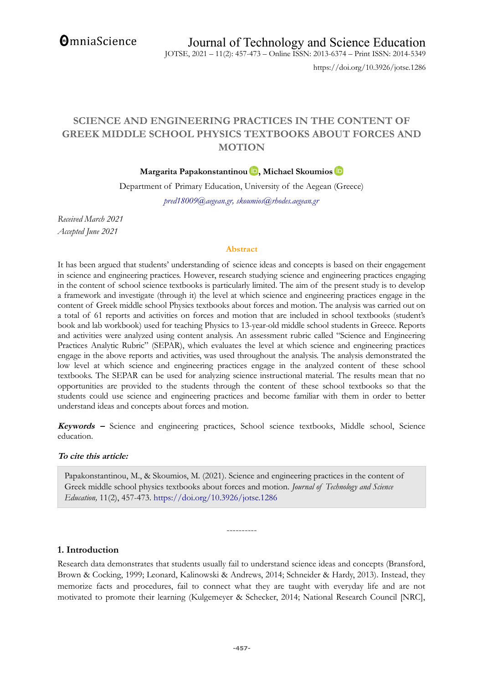**OmniaScience** 

https://doi.org/10.3926/jotse.1286

# **SCIENCE AND ENGINEERING PRACTICES IN THE CONTENT OF GREEK MIDDLE SCHOOL PHYSICS TEXTBOOKS ABOUT FORCES AND MOTION**

**Margarita Papakonstantinou D**[,](https://orcid.org/0000-0001-7609-1103) Michael Skoumios **D** 

Department of Primary Education, University of the Aegean (Greece) *pred18009@aegean.gr, skoumios@rhodes.aegean.gr*

*Received March 2021 Accepted June 2021*

#### **Abstract**

It has been argued that students' understanding of science ideas and concepts is based on their engagement in science and engineering practices. However, research studying science and engineering practices engaging in the content of school science textbooks is particularly limited. The aim of the present study is to develop a framework and investigate (through it) the level at which science and engineering practices engage in the content of Greek middle school Physics textbooks about forces and motion. The analysis was carried out on a total of 61 reports and activities on forces and motion that are included in school textbooks (student's book and lab workbook) used for teaching Physics to 13-year-old middle school students in Greece. Reports and activities were analyzed using content analysis. An assessment rubric called "Science and Engineering Practices Analytic Rubric" (SEPAR), which evaluates the level at which science and engineering practices engage in the above reports and activities, was used throughout the analysis. The analysis demonstrated the low level at which science and engineering practices engage in the analyzed content of these school textbooks. The SEPAR can be used for analyzing science instructional material. The results mean that no opportunities are provided to the students through the content of these school textbooks so that the students could use science and engineering practices and become familiar with them in order to better understand ideas and concepts about forces and motion.

**Keywords –** Science and engineering practices, School science textbooks, Middle school, Science education.

#### **To cite this article:**

Papakonstantinou, M., & Skoumios, M. (2021). Science and engineering practices in the content of Greek middle school physics textbooks about forces and motion. *Journal of Technology and Science Education,* 11(2), 457-473.<https://doi.org/10.3926/jotse.1286>

----------

#### **1. Introduction**

Research data demonstrates that students usually fail to understand science ideas and concepts (Bransford, Brown & Cocking, 1999; Leonard, Kalinowski & Andrews, 2014; Schneider & Hardy, 2013). Instead, they memorize facts and procedures, fail to connect what they are taught with everyday life and are not motivated to promote their learning (Kulgemeyer & Schecker, 2014; National Research Council [NRC],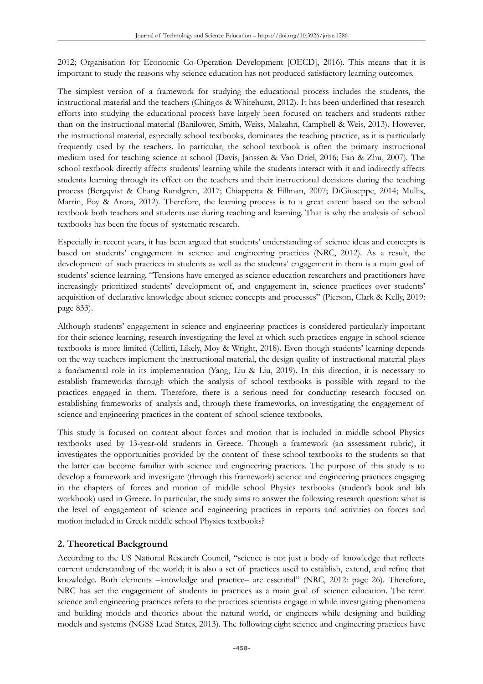2012; Organisation for Economic Co-Operation Development [OECD], 2016). This means that it is important to study the reasons why science education has not produced satisfactory learning outcomes.

The simplest version of a framework for studying the educational process includes the students, the instructional material and the teachers (Chingos & Whitehurst, 2012). It has been underlined that research efforts into studying the educational process have largely been focused on teachers and students rather than on the instructional material (Banilower, Smith, Weiss, Malzahn, Campbell & Weis, 2013). However, the instructional material, especially school textbooks, dominates the teaching practice, as it is particularly frequently used by the teachers. In particular, the school textbook is often the primary instructional medium used for teaching science at school (Davis, Janssen & Van Driel, 2016; Fan & Zhu, 2007). The school textbook directly affects students' learning while the students interact with it and indirectly affects students learning through its effect on the teachers and their instructional decisions during the teaching process (Bergqvist & Chang Rundgren, 2017; Chiappetta & Fillman, 2007; DiGiuseppe, 2014; Mullis, Martin, Foy & Arora, 2012). Therefore, the learning process is to a great extent based on the school textbook both teachers and students use during teaching and learning. That is why the analysis of school textbooks has been the focus of systematic research.

Especially in recent years, it has been argued that students' understanding of science ideas and concepts is based on students' engagement in science and engineering practices (NRC, 2012). As a result, the development of such practices in students as well as the students' engagement in them is a main goal of students' science learning. "Tensions have emerged as science education researchers and practitioners have increasingly prioritized students' development of, and engagement in, science practices over students' acquisition of declarative knowledge about science concepts and processes" (Pierson, Clark & Kelly, 2019: page 833).

Although students' engagement in science and engineering practices is considered particularly important for their science learning, research investigating the level at which such practices engage in school science textbooks is more limited (Cellitti, Likely, Moy & Wright, 2018). Even though students' learning depends on the way teachers implement the instructional material, the design quality of instructional material plays a fundamental role in its implementation (Yang, Liu & Liu, 2019). In this direction, it is necessary to establish frameworks through which the analysis of school textbooks is possible with regard to the practices engaged in them. Therefore, there is a serious need for conducting research focused on establishing frameworks of analysis and, through these frameworks, on investigating the engagement of science and engineering practices in the content of school science textbooks.

This study is focused on content about forces and motion that is included in middle school Physics textbooks used by 13-year-old students in Greece. Through a framework (an assessment rubric), it investigates the opportunities provided by the content of these school textbooks to the students so that the latter can become familiar with science and engineering practices. The purpose of this study is to develop a framework and investigate (through this framework) science and engineering practices engaging in the chapters of forces and motion of middle school Physics textbooks (student's book and lab workbook) used in Greece. In particular, the study aims to answer the following research question: what is the level of engagement of science and engineering practices in reports and activities on forces and motion included in Greek middle school Physics textbooks?

## **2. Theoretical Background**

According to the US National Research Council, "science is not just a body of knowledge that reflects current understanding of the world; it is also a set of practices used to establish, extend, and refine that knowledge. Both elements –knowledge and practice– are essential" (NRC, 2012: page 26). Therefore, NRC has set the engagement of students in practices as a main goal of science education. The term science and engineering practices refers to the practices scientists engage in while investigating phenomena and building models and theories about the natural world, or engineers while designing and building models and systems (NGSS Lead States, 2013). The following eight science and engineering practices have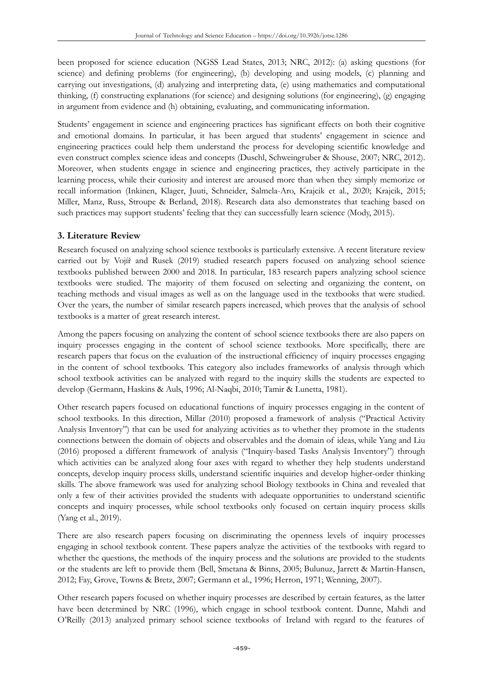been proposed for science education (NGSS Lead States, 2013; NRC, 2012): (a) asking questions (for science) and defining problems (for engineering), (b) developing and using models, (c) planning and carrying out investigations, (d) analyzing and interpreting data, (e) using mathematics and computational thinking, (f) constructing explanations (for science) and designing solutions (for engineering), (g) engaging in argument from evidence and (h) obtaining, evaluating, and communicating information.

Students' engagement in science and engineering practices has significant effects on both their cognitive and emotional domains. In particular, it has been argued that students' engagement in science and engineering practices could help them understand the process for developing scientific knowledge and even construct complex science ideas and concepts (Duschl, Schweingruber & Shouse, 2007; NRC, 2012). Moreover, when students engage in science and engineering practices, they actively participate in the learning process, while their curiosity and interest are aroused more than when they simply memorize or recall information (Inkinen, Klager, Juuti, Schneider, Salmela-Aro, Krajcik et al., 2020; Krajcik, 2015; Miller, Manz, Russ, Stroupe & Berland, 2018). Research data also demonstrates that teaching based on such practices may support students' feeling that they can successfully learn science (Mody, 2015).

## **3. Literature Review**

Research focused on analyzing school science textbooks is particularly extensive. A recent literature review carried out by Vojíř and Rusek (2019) studied research papers focused on analyzing school science textbooks published between 2000 and 2018. In particular, 183 research papers analyzing school science textbooks were studied. The majority of them focused on selecting and organizing the content, on teaching methods and visual images as well as on the language used in the textbooks that were studied. Over the years, the number of similar research papers increased, which proves that the analysis of school textbooks is a matter of great research interest.

Among the papers focusing on analyzing the content of school science textbooks there are also papers on inquiry processes engaging in the content of school science textbooks. More specifically, there are research papers that focus on the evaluation of the instructional efficiency of inquiry processes engaging in the content of school textbooks. This category also includes frameworks of analysis through which school textbook activities can be analyzed with regard to the inquiry skills the students are expected to develop (Germann, Haskins & Auls, 1996; Al-Naqbi, 2010; Tamir & Lunetta, 1981).

Other research papers focused on educational functions of inquiry processes engaging in the content of school textbooks. In this direction, Millar (2010) proposed a framework of analysis ("Practical Activity Analysis Inventory") that can be used for analyzing activities as to whether they promote in the students connections between the domain of objects and observables and the domain of ideas, while Yang and Liu (2016) proposed a different framework of analysis ("Inquiry-based Tasks Analysis Inventory") through which activities can be analyzed along four axes with regard to whether they help students understand concepts, develop inquiry process skills, understand scientific inquiries and develop higher-order thinking skills. The above framework was used for analyzing school Biology textbooks in China and revealed that only a few of their activities provided the students with adequate opportunities to understand scientific concepts and inquiry processes, while school textbooks only focused on certain inquiry process skills (Yang et al., 2019).

There are also research papers focusing on discriminating the openness levels of inquiry processes engaging in school textbook content. These papers analyze the activities of the textbooks with regard to whether the questions, the methods of the inquiry process and the solutions are provided to the students or the students are left to provide them (Bell, Smetana & Binns, 2005; Bulunuz, Jarrett & Martin-Hansen, 2012; Fay, Grove, Towns & Bretz, 2007; Germann et al., 1996; Herron, 1971; Wenning, 2007).

Other research papers focused on whether inquiry processes are described by certain features, as the latter have been determined by NRC (1996), which engage in school textbook content. Dunne, Mahdi and O'Reilly (2013) analyzed primary school science textbooks of Ireland with regard to the features of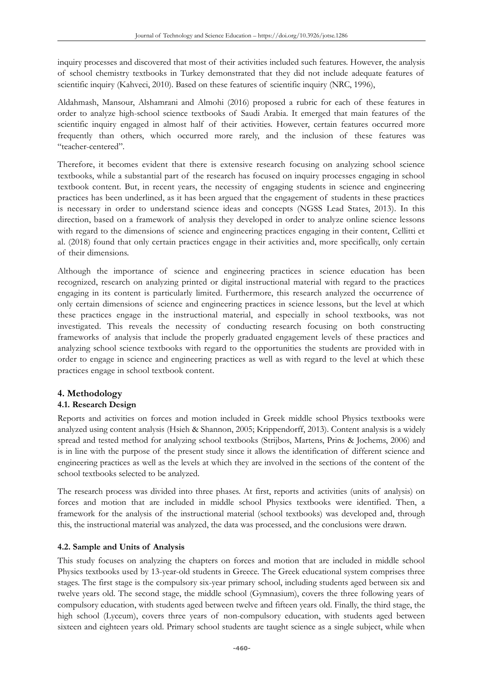inquiry processes and discovered that most of their activities included such features. However, the analysis of school chemistry textbooks in Turkey demonstrated that they did not include adequate features of scientific inquiry (Kahveci, 2010). Based on these features of scientific inquiry (NRC, 1996),

Aldahmash, Mansour, Alshamrani and Almohi (2016) proposed a rubric for each of these features in order to analyze high-school science textbooks of Saudi Arabia. It emerged that main features of the scientific inquiry engaged in almost half of their activities. However, certain features occurred more frequently than others, which occurred more rarely, and the inclusion of these features was "teacher-centered".

Therefore, it becomes evident that there is extensive research focusing on analyzing school science textbooks, while a substantial part of the research has focused on inquiry processes engaging in school textbook content. But, in recent years, the necessity of engaging students in science and engineering practices has been underlined, as it has been argued that the engagement of students in these practices is necessary in order to understand science ideas and concepts (NGSS Lead States, 2013). In this direction, based on a framework of analysis they developed in order to analyze online science lessons with regard to the dimensions of science and engineering practices engaging in their content, Cellitti et al. (2018) found that only certain practices engage in their activities and, more specifically, only certain of their dimensions.

Although the importance of science and engineering practices in science education has been recognized, research on analyzing printed or digital instructional material with regard to the practices engaging in its content is particularly limited. Furthermore, this research analyzed the occurrence of only certain dimensions of science and engineering practices in science lessons, but the level at which these practices engage in the instructional material, and especially in school textbooks, was not investigated. This reveals the necessity of conducting research focusing on both constructing frameworks of analysis that include the properly graduated engagement levels of these practices and analyzing school science textbooks with regard to the opportunities the students are provided with in order to engage in science and engineering practices as well as with regard to the level at which these practices engage in school textbook content.

## **4. Methodology**

## **4.1. Research Design**

Reports and activities on forces and motion included in Greek middle school Physics textbooks were analyzed using content analysis (Hsieh & Shannon, 2005; Krippendorff, 2013). Content analysis is a widely spread and tested method for analyzing school textbooks (Strijbos, Martens, Prins & Jochems, 2006) and is in line with the purpose of the present study since it allows the identification of different science and engineering practices as well as the levels at which they are involved in the sections of the content of the school textbooks selected to be analyzed.

The research process was divided into three phases. At first, reports and activities (units of analysis) on forces and motion that are included in middle school Physics textbooks were identified. Then, a framework for the analysis of the instructional material (school textbooks) was developed and, through this, the instructional material was analyzed, the data was processed, and the conclusions were drawn.

#### **4.2. Sample and Units of Analysis**

This study focuses on analyzing the chapters on forces and motion that are included in middle school Physics textbooks used by 13-year-old students in Greece. The Greek educational system comprises three stages. The first stage is the compulsory six-year primary school, including students aged between six and twelve years old. The second stage, the middle school (Gymnasium), covers the three following years of compulsory education, with students aged between twelve and fifteen years old. Finally, the third stage, the high school (Lyceum), covers three years of non-compulsory education, with students aged between sixteen and eighteen years old. Primary school students are taught science as a single subject, while when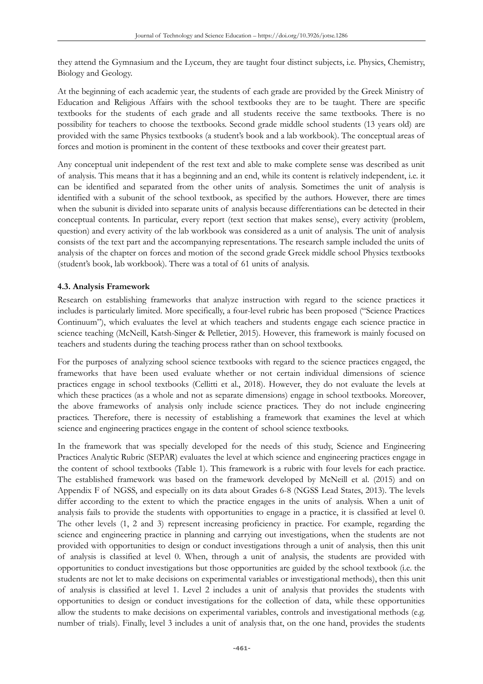they attend the Gymnasium and the Lyceum, they are taught four distinct subjects, i.e. Physics, Chemistry, Biology and Geology.

At the beginning of each academic year, the students of each grade are provided by the Greek Ministry of Education and Religious Affairs with the school textbooks they are to be taught. There are specific textbooks for the students of each grade and all students receive the same textbooks. There is no possibility for teachers to choose the textbooks. Second grade middle school students (13 years old) are provided with the same Physics textbooks (a student's book and a lab workbook). The conceptual areas of forces and motion is prominent in the content of these textbooks and cover their greatest part.

Any conceptual unit independent of the rest text and able to make complete sense was described as unit of analysis. This means that it has a beginning and an end, while its content is relatively independent, i.e. it can be identified and separated from the other units of analysis. Sometimes the unit of analysis is identified with a subunit of the school textbook, as specified by the authors. However, there are times when the subunit is divided into separate units of analysis because differentiations can be detected in their conceptual contents. In particular, every report (text section that makes sense), every activity (problem, question) and every activity of the lab workbook was considered as a unit of analysis. The unit of analysis consists of the text part and the accompanying representations. The research sample included the units of analysis of the chapter on forces and motion of the second grade Greek middle school Physics textbooks (student's book, lab workbook). There was a total of 61 units of analysis.

#### **4.3. Analysis Framework**

Research on establishing frameworks that analyze instruction with regard to the science practices it includes is particularly limited. More specifically, a four-level rubric has been proposed ("Science Practices Continuum"), which evaluates the level at which teachers and students engage each science practice in science teaching (McNeill, Katsh-Singer & Pelletier, 2015). However, this framework is mainly focused on teachers and students during the teaching process rather than on school textbooks.

For the purposes of analyzing school science textbooks with regard to the science practices engaged, the frameworks that have been used evaluate whether or not certain individual dimensions of science practices engage in school textbooks (Cellitti et al., 2018). However, they do not evaluate the levels at which these practices (as a whole and not as separate dimensions) engage in school textbooks. Moreover, the above frameworks of analysis only include science practices. They do not include engineering practices. Therefore, there is necessity of establishing a framework that examines the level at which science and engineering practices engage in the content of school science textbooks.

In the framework that was specially developed for the needs of this study, Science and Engineering Practices Analytic Rubric (SEPAR) evaluates the level at which science and engineering practices engage in the content of school textbooks (Table 1). This framework is a rubric with four levels for each practice. The established framework was based on the framework developed by McNeill et al. (2015) and on Appendix F of NGSS, and especially on its data about Grades 6-8 (NGSS Lead States, 2013). The levels differ according to the extent to which the practice engages in the units of analysis. When a unit of analysis fails to provide the students with opportunities to engage in a practice, it is classified at level 0. The other levels (1, 2 and 3) represent increasing proficiency in practice. For example, regarding the science and engineering practice in planning and carrying out investigations, when the students are not provided with opportunities to design or conduct investigations through a unit of analysis, then this unit of analysis is classified at level 0. When, through a unit of analysis, the students are provided with opportunities to conduct investigations but those opportunities are guided by the school textbook (i.e. the students are not let to make decisions on experimental variables or investigational methods), then this unit of analysis is classified at level 1. Level 2 includes a unit of analysis that provides the students with opportunities to design or conduct investigations for the collection of data, while these opportunities allow the students to make decisions on experimental variables, controls and investigational methods (e.g. number of trials). Finally, level 3 includes a unit of analysis that, on the one hand, provides the students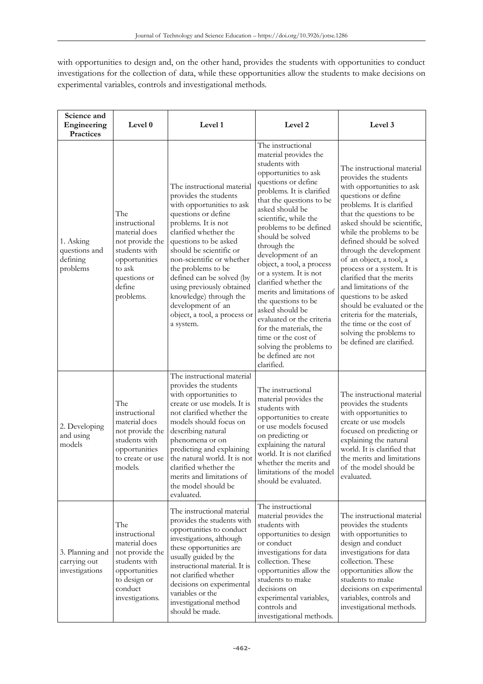with opportunities to design and, on the other hand, provides the students with opportunities to conduct investigations for the collection of data, while these opportunities allow the students to make decisions on experimental variables, controls and investigational methods.

| Science and<br>Engineering<br>Practices            | Level 0                                                                                                                                                                                                                                                                                                                                                                                                                                                                                          | Level 1                                                                                                                                                                                                                                                                                                                                                                                                              | Level <sub>2</sub>                                                                                                                                                                                                                                                                                                                                                                                                                                                                                                                                                                                    |                                                                                                                                                                                                                                                                                                                                                                                                                                                                                                                                                                             |  |
|----------------------------------------------------|--------------------------------------------------------------------------------------------------------------------------------------------------------------------------------------------------------------------------------------------------------------------------------------------------------------------------------------------------------------------------------------------------------------------------------------------------------------------------------------------------|----------------------------------------------------------------------------------------------------------------------------------------------------------------------------------------------------------------------------------------------------------------------------------------------------------------------------------------------------------------------------------------------------------------------|-------------------------------------------------------------------------------------------------------------------------------------------------------------------------------------------------------------------------------------------------------------------------------------------------------------------------------------------------------------------------------------------------------------------------------------------------------------------------------------------------------------------------------------------------------------------------------------------------------|-----------------------------------------------------------------------------------------------------------------------------------------------------------------------------------------------------------------------------------------------------------------------------------------------------------------------------------------------------------------------------------------------------------------------------------------------------------------------------------------------------------------------------------------------------------------------------|--|
| 1. Asking<br>questions and<br>defining<br>problems | The<br>instructional<br>material does<br>not provide the<br>students with<br>opportunities<br>to ask<br>questions or<br>define<br>problems.                                                                                                                                                                                                                                                                                                                                                      | The instructional material<br>provides the students<br>with opportunities to ask<br>questions or define<br>problems. It is not<br>clarified whether the<br>questions to be asked<br>should be scientific or<br>non-scientific or whether<br>the problems to be<br>defined can be solved (by<br>using previously obtained<br>knowledge) through the<br>development of an<br>object, a tool, a process or<br>a system. | The instructional<br>material provides the<br>students with<br>opportunities to ask<br>questions or define<br>problems. It is clarified<br>that the questions to be<br>asked should be<br>scientific, while the<br>problems to be defined<br>should be solved<br>through the<br>development of an<br>object, a tool, a process<br>or a system. It is not<br>clarified whether the<br>merits and limitations of<br>the questions to be<br>asked should be<br>evaluated or the criteria<br>for the materials, the<br>time or the cost of<br>solving the problems to<br>be defined are not<br>clarified. | The instructional material<br>provides the students<br>with opportunities to ask<br>questions or define<br>problems. It is clarified<br>that the questions to be<br>asked should be scientific,<br>while the problems to be<br>defined should be solved<br>through the development<br>of an object, a tool, a<br>process or a system. It is<br>clarified that the merits<br>and limitations of the<br>questions to be asked<br>should be evaluated or the<br>criteria for the materials,<br>the time or the cost of<br>solving the problems to<br>be defined are clarified. |  |
| 2. Developing<br>and using<br>models               | The instructional material<br>provides the students<br>with opportunities to<br>create or use models. It is<br>The<br>instructional<br>not clarified whether the<br>material does<br>models should focus on<br>not provide the<br>describing natural<br>students with<br>phenomena or on<br>opportunities<br>predicting and explaining<br>the natural world. It is not<br>to create or use<br>models.<br>clarified whether the<br>merits and limitations of<br>the model should be<br>evaluated. |                                                                                                                                                                                                                                                                                                                                                                                                                      | The instructional<br>material provides the<br>students with<br>opportunities to create<br>or use models focused<br>on predicting or<br>explaining the natural<br>world. It is not clarified<br>whether the merits and<br>limitations of the model<br>should be evaluated.                                                                                                                                                                                                                                                                                                                             | The instructional material<br>provides the students<br>with opportunities to<br>create or use models<br>focused on predicting or<br>explaining the natural<br>world. It is clarified that<br>the merits and limitations<br>of the model should be<br>evaluated.                                                                                                                                                                                                                                                                                                             |  |
| 3. Planning and<br>carrying out<br>investigations  | The instructional material<br>provides the students with<br>The<br>opportunities to conduct<br>instructional<br>investigations, although<br>material does<br>these opportunities are<br>not provide the<br>usually guided by the<br>students with<br>instructional material. It is<br>opportunities<br>not clarified whether<br>to design or<br>decisions on experimental<br>conduct<br>variables or the<br>investigations.<br>investigational method<br>should be made.                         |                                                                                                                                                                                                                                                                                                                                                                                                                      | The instructional<br>material provides the<br>students with<br>opportunities to design<br>or conduct<br>investigations for data<br>collection. These<br>opportunities allow the<br>students to make<br>decisions on<br>experimental variables,<br>controls and<br>investigational methods.                                                                                                                                                                                                                                                                                                            | The instructional material<br>provides the students<br>with opportunities to<br>design and conduct<br>investigations for data<br>collection. These<br>opportunities allow the<br>students to make<br>decisions on experimental<br>variables, controls and<br>investigational methods.                                                                                                                                                                                                                                                                                       |  |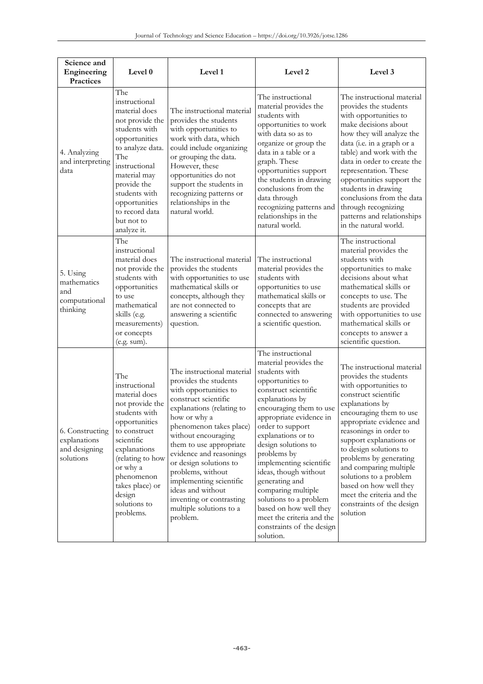| Science and<br>Engineering<br>Practices                       | Level 0                                                                                                                                                                                                                                                | Level 1                                                                                                                                                                                                                                                                                                                                                                                                                     | Level 2                                                                                                                                                                                                                                                                                                                                                                                                                                                                                 | Level 3                                                                                                                                                                                                                                                                                                                                                                                                                                     |
|---------------------------------------------------------------|--------------------------------------------------------------------------------------------------------------------------------------------------------------------------------------------------------------------------------------------------------|-----------------------------------------------------------------------------------------------------------------------------------------------------------------------------------------------------------------------------------------------------------------------------------------------------------------------------------------------------------------------------------------------------------------------------|-----------------------------------------------------------------------------------------------------------------------------------------------------------------------------------------------------------------------------------------------------------------------------------------------------------------------------------------------------------------------------------------------------------------------------------------------------------------------------------------|---------------------------------------------------------------------------------------------------------------------------------------------------------------------------------------------------------------------------------------------------------------------------------------------------------------------------------------------------------------------------------------------------------------------------------------------|
| 4. Analyzing<br>and interpreting<br>data                      | The<br>instructional<br>material does<br>not provide the<br>students with<br>opportunities<br>to analyze data.<br>The<br>instructional<br>material may<br>provide the<br>students with<br>opportunities<br>to record data<br>but not to<br>analyze it. | The instructional material<br>provides the students<br>with opportunities to<br>work with data, which<br>could include organizing<br>or grouping the data.<br>However, these<br>opportunities do not<br>support the students in<br>recognizing patterns or<br>relationships in the<br>natural world.                                                                                                                        | The instructional<br>material provides the<br>students with<br>opportunities to work<br>with data so as to<br>organize or group the<br>data in a table or a<br>graph. These<br>opportunities support<br>the students in drawing<br>conclusions from the<br>data through<br>recognizing patterns and<br>relationships in the<br>natural world.                                                                                                                                           | The instructional material<br>provides the students<br>with opportunities to<br>make decisions about<br>how they will analyze the<br>data (i.e. in a graph or a<br>table) and work with the<br>data in order to create the<br>representation. These<br>opportunities support the<br>students in drawing<br>conclusions from the data<br>through recognizing<br>patterns and relationships<br>in the natural world.                          |
| 5. Using<br>mathematics<br>and<br>computational<br>thinking   | The<br>instructional<br>material does<br>not provide the<br>students with<br>opportunities<br>to use<br>mathematical<br>skills (e.g.<br>measurements)<br>or concepts<br>(e.g. sum).                                                                    | The instructional material<br>provides the students<br>with opportunities to use<br>mathematical skills or<br>concepts, although they<br>are not connected to<br>answering a scientific<br>question.                                                                                                                                                                                                                        | The instructional<br>material provides the<br>students with<br>opportunities to use<br>mathematical skills or<br>concepts that are<br>connected to answering<br>a scientific question.                                                                                                                                                                                                                                                                                                  | The instructional<br>material provides the<br>students with<br>opportunities to make<br>decisions about what<br>mathematical skills or<br>concepts to use. The<br>students are provided<br>with opportunities to use<br>mathematical skills or<br>concepts to answer a<br>scientific question.                                                                                                                                              |
| 6. Constructing<br>explanations<br>and designing<br>solutions | The<br>instructional<br>material does<br>not provide the<br>students with<br>opportunities<br>to construct<br>scientific<br>explanations<br>(relating to how<br>or why a<br>phenomenon<br>takes place) or<br>design<br>solutions to<br>problems.       | The instructional material<br>provides the students<br>with opportunities to<br>construct scientific<br>explanations (relating to<br>how or why a<br>phenomenon takes place)<br>without encouraging<br>them to use appropriate<br>evidence and reasonings<br>or design solutions to<br>problems, without<br>implementing scientific<br>ideas and without<br>inventing or contrasting<br>multiple solutions to a<br>problem. | The instructional<br>material provides the<br>students with<br>opportunities to<br>construct scientific<br>explanations by<br>encouraging them to use<br>appropriate evidence in<br>order to support<br>explanations or to<br>design solutions to<br>problems by<br>implementing scientific<br>ideas, though without<br>generating and<br>comparing multiple<br>solutions to a problem<br>based on how well they<br>meet the criteria and the<br>constraints of the design<br>solution. | The instructional material<br>provides the students<br>with opportunities to<br>construct scientific<br>explanations by<br>encouraging them to use<br>appropriate evidence and<br>reasonings in order to<br>support explanations or<br>to design solutions to<br>problems by generating<br>and comparing multiple<br>solutions to a problem<br>based on how well they<br>meet the criteria and the<br>constraints of the design<br>solution |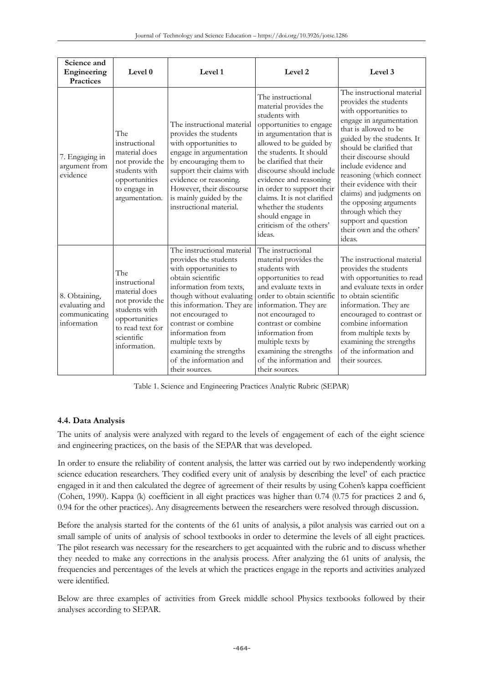| Science and<br>Engineering<br><b>Practices</b>                  | Level 0                                                                                                                                      | Level 1                                                                                                                                                                                                                                                                                                                                             | Level <sub>2</sub>                                                                                                                                                                                                                                                                                                                                                                                      | Level 3                                                                                                                                                                                                                                                                                                                                                                                                                                          |
|-----------------------------------------------------------------|----------------------------------------------------------------------------------------------------------------------------------------------|-----------------------------------------------------------------------------------------------------------------------------------------------------------------------------------------------------------------------------------------------------------------------------------------------------------------------------------------------------|---------------------------------------------------------------------------------------------------------------------------------------------------------------------------------------------------------------------------------------------------------------------------------------------------------------------------------------------------------------------------------------------------------|--------------------------------------------------------------------------------------------------------------------------------------------------------------------------------------------------------------------------------------------------------------------------------------------------------------------------------------------------------------------------------------------------------------------------------------------------|
| 7. Engaging in<br>argument from<br>evidence                     | The<br>instructional<br>material does<br>not provide the<br>students with<br>opportunities<br>to engage in<br>argumentation.                 | The instructional material<br>provides the students<br>with opportunities to<br>engage in argumentation<br>by encouraging them to<br>support their claims with<br>evidence or reasoning.<br>However, their discourse<br>is mainly guided by the<br>instructional material.                                                                          | The instructional<br>material provides the<br>students with<br>opportunities to engage<br>in argumentation that is<br>allowed to be guided by<br>the students. It should<br>be clarified that their<br>discourse should include<br>evidence and reasoning<br>in order to support their<br>claims. It is not clarified<br>whether the students<br>should engage in<br>criticism of the others'<br>ideas. | The instructional material<br>provides the students<br>with opportunities to<br>engage in argumentation<br>that is allowed to be<br>guided by the students. It<br>should be clarified that<br>their discourse should<br>include evidence and<br>reasoning (which connect<br>their evidence with their<br>claims) and judgments on<br>the opposing arguments<br>through which they<br>support and question<br>their own and the others'<br>ideas. |
| 8. Obtaining,<br>evaluating and<br>communicating<br>information | The<br>instructional<br>material does<br>not provide the<br>students with<br>opportunities<br>to read text for<br>scientific<br>information. | The instructional material<br>provides the students<br>with opportunities to<br>obtain scientific<br>information from texts,<br>though without evaluating<br>this information. They are<br>not encouraged to<br>contrast or combine<br>information from<br>multiple texts by<br>examining the strengths<br>of the information and<br>their sources. | The instructional<br>material provides the<br>students with<br>opportunities to read<br>and evaluate texts in<br>order to obtain scientific<br>information. They are<br>not encouraged to<br>contrast or combine<br>information from<br>multiple texts by<br>examining the strengths<br>of the information and<br>their sources.                                                                        | The instructional material<br>provides the students<br>with opportunities to read<br>and evaluate texts in order<br>to obtain scientific<br>information. They are<br>encouraged to contrast or<br>combine information<br>from multiple texts by<br>examining the strengths<br>of the information and<br>their sources.                                                                                                                           |

Table 1. Science and Engineering Practices Analytic Rubric (SEPAR)

## **4.4. Data Analysis**

The units of analysis were analyzed with regard to the levels of engagement of each of the eight science and engineering practices, on the basis of the SEPAR that was developed.

In order to ensure the reliability of content analysis, the latter was carried out by two independently working science education researchers. They codified every unit of analysis by describing the level' of each practice engaged in it and then calculated the degree of agreement of their results by using Cohen's kappa coefficient (Cohen, 1990). Kappa (k) coefficient in all eight practices was higher than 0.74 (0.75 for practices 2 and 6, 0.94 for the other practices). Any disagreements between the researchers were resolved through discussion.

Before the analysis started for the contents of the 61 units of analysis, a pilot analysis was carried out on a small sample of units of analysis of school textbooks in order to determine the levels of all eight practices. The pilot research was necessary for the researchers to get acquainted with the rubric and to discuss whether they needed to make any corrections in the analysis process. After analyzing the 61 units of analysis, the frequencies and percentages of the levels at which the practices engage in the reports and activities analyzed were identified.

Below are three examples of activities from Greek middle school Physics textbooks followed by their analyses according to SEPAR.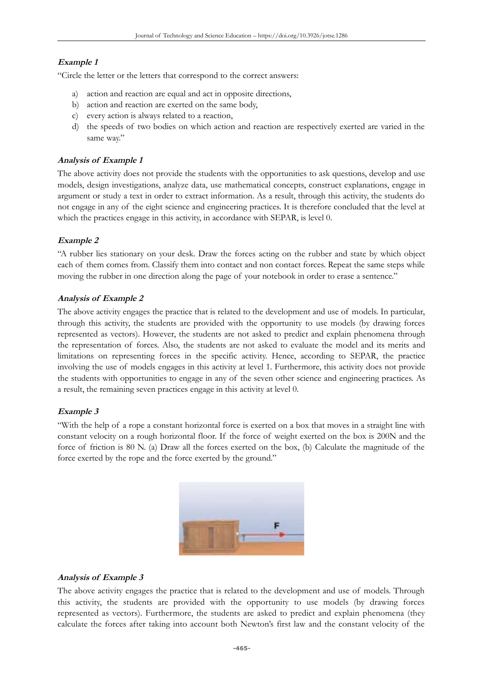## **Example 1**

"Circle the letter or the letters that correspond to the correct answers:

- a) action and reaction are equal and act in opposite directions,
- b) action and reaction are exerted on the same body,
- c) every action is always related to a reaction,
- d) the speeds of two bodies on which action and reaction are respectively exerted are varied in the same way."

#### **Analysis of Example 1**

The above activity does not provide the students with the opportunities to ask questions, develop and use models, design investigations, analyze data, use mathematical concepts, construct explanations, engage in argument or study a text in order to extract information. As a result, through this activity, the students do not engage in any of the eight science and engineering practices. It is therefore concluded that the level at which the practices engage in this activity, in accordance with SEPAR, is level 0.

## **Example 2**

"A rubber lies stationary on your desk. Draw the forces acting on the rubber and state by which object each of them comes from. Classify them into contact and non contact forces. Repeat the same steps while moving the rubber in one direction along the page of your notebook in order to erase a sentence."

#### **Analysis of Example 2**

The above activity engages the practice that is related to the development and use of models. In particular, through this activity, the students are provided with the opportunity to use models (by drawing forces represented as vectors). However, the students are not asked to predict and explain phenomena through the representation of forces. Also, the students are not asked to evaluate the model and its merits and limitations on representing forces in the specific activity. Hence, according to SEPAR, the practice involving the use of models engages in this activity at level 1. Furthermore, this activity does not provide the students with opportunities to engage in any of the seven other science and engineering practices. As a result, the remaining seven practices engage in this activity at level 0.

#### **Example 3**

"With the help of a rope a constant horizontal force is exerted on a box that moves in a straight line with constant velocity on a rough horizontal floor. If the force of weight exerted on the box is 200N and the force of friction is 80 N. (a) Draw all the forces exerted on the box, (b) Calculate the magnitude of the force exerted by the rope and the force exerted by the ground."



## **Analysis of Example 3**

The above activity engages the practice that is related to the development and use of models. Through this activity, the students are provided with the opportunity to use models (by drawing forces represented as vectors). Furthermore, the students are asked to predict and explain phenomena (they calculate the forces after taking into account both Newton's first law and the constant velocity of the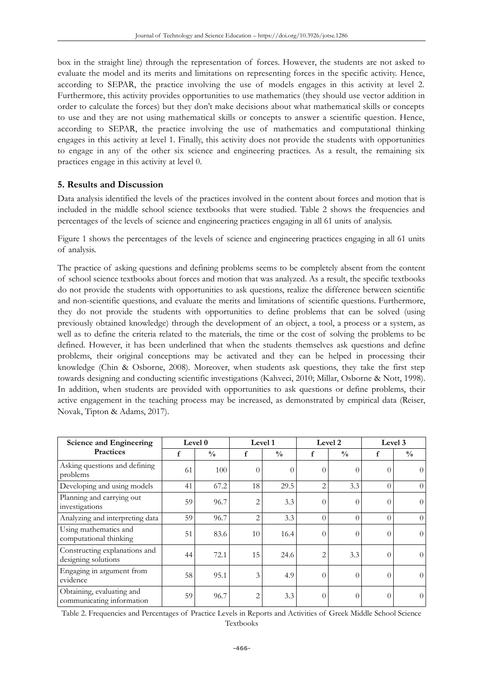box in the straight line) through the representation of forces. However, the students are not asked to evaluate the model and its merits and limitations on representing forces in the specific activity. Hence, according to SEPAR, the practice involving the use of models engages in this activity at level 2. Furthermore, this activity provides opportunities to use mathematics (they should use vector addition in order to calculate the forces) but they don't make decisions about what mathematical skills or concepts to use and they are not using mathematical skills or concepts to answer a scientific question. Hence, according to SEPAR, the practice involving the use of mathematics and computational thinking engages in this activity at level 1. Finally, this activity does not provide the students with opportunities to engage in any of the other six science and engineering practices. As a result, the remaining six practices engage in this activity at level 0.

#### **5. Results and Discussion**

Data analysis identified the levels of the practices involved in the content about forces and motion that is included in the middle school science textbooks that were studied. Table 2 shows the frequencies and percentages of the levels of science and engineering practices engaging in all 61 units of analysis.

Figure 1 shows the percentages of the levels of science and engineering practices engaging in all 61 units of analysis.

The practice of asking questions and defining problems seems to be completely absent from the content of school science textbooks about forces and motion that was analyzed. As a result, the specific textbooks do not provide the students with opportunities to ask questions, realize the difference between scientific and non-scientific questions, and evaluate the merits and limitations of scientific questions. Furthermore, they do not provide the students with opportunities to define problems that can be solved (using previously obtained knowledge) through the development of an object, a tool, a process or a system, as well as to define the criteria related to the materials, the time or the cost of solving the problems to be defined. However, it has been underlined that when the students themselves ask questions and define problems, their original conceptions may be activated and they can be helped in processing their knowledge (Chin & Osborne, 2008). Moreover, when students ask questions, they take the first step towards designing and conducting scientific investigations (Kahveci, 2010; Millar, Osborne & Nott, 1998). In addition, when students are provided with opportunities to ask questions or define problems, their active engagement in the teaching process may be increased, as demonstrated by empirical data (Reiser, Novak, Tipton & Adams, 2017).

| <b>Science and Engineering</b>                         | Level 0 |               | Level 1        |               | Level 2        |               | Level 3  |               |
|--------------------------------------------------------|---------|---------------|----------------|---------------|----------------|---------------|----------|---------------|
| <b>Practices</b>                                       | f       | $\frac{0}{0}$ | f              | $\frac{0}{0}$ | f              | $\frac{0}{0}$ | f        | $\frac{0}{0}$ |
| Asking questions and defining<br>problems              | 61      | 100           | $\theta$       | $\Omega$      | $\theta$       | $\theta$      | $\Omega$ |               |
| Developing and using models                            | 41      | 67.2          | 18             | 29.5          | $\overline{2}$ | 3.3           | $\Omega$ | $\Omega$      |
| Planning and carrying out<br>investigations            | 59      | 96.7          | $\overline{2}$ | 3.3           | $\theta$       | $\theta$      | $\Omega$ | $\Omega$      |
| Analyzing and interpreting data                        | 59      | 96.7          | $\overline{2}$ | 3.3           | $\theta$       | $\theta$      | $\Omega$ | $\Omega$      |
| Using mathematics and<br>computational thinking        | 51      | 83.6          | 10             | 16.4          | $\theta$       | $\theta$      | $\theta$ | $\Omega$      |
| Constructing explanations and<br>designing solutions   | 44      | 72.1          | 15             | 24.6          | $\overline{2}$ | 3.3           | $\Omega$ | $\Omega$      |
| Engaging in argument from<br>evidence                  | 58      | 95.1          | 3              | 4.9           | $\theta$       | $\theta$      | $\theta$ | $\theta$      |
| Obtaining, evaluating and<br>communicating information | 59      | 96.7          | $\overline{2}$ | 3.3           | $\theta$       | $\theta$      | $\Omega$ | $\Omega$      |

Table 2. Frequencies and Percentages of Practice Levels in Reports and Activities of Greek Middle School Science Textbooks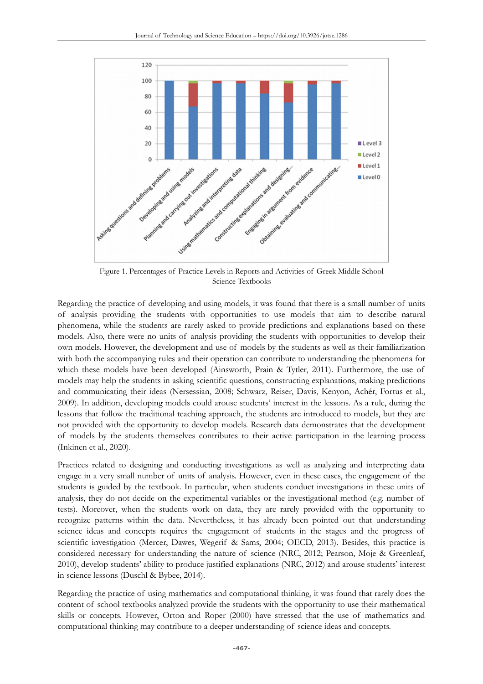

Figure 1. Percentages of Practice Levels in Reports and Activities of Greek Middle School Science Textbooks

Regarding the practice of developing and using models, it was found that there is a small number of units of analysis providing the students with opportunities to use models that aim to describe natural phenomena, while the students are rarely asked to provide predictions and explanations based on these models. Also, there were no units of analysis providing the students with opportunities to develop their own models. However, the development and use of models by the students as well as their familiarization with both the accompanying rules and their operation can contribute to understanding the phenomena for which these models have been developed (Ainsworth, Prain & Tytler, 2011). Furthermore, the use of models may help the students in asking scientific questions, constructing explanations, making predictions and communicating their ideas (Nersessian, 2008; Schwarz, Reiser, Davis, Kenyon, Achér, Fortus et al., 2009). In addition, developing models could arouse students' interest in the lessons. As a rule, during the lessons that follow the traditional teaching approach, the students are introduced to models, but they are not provided with the opportunity to develop models. Research data demonstrates that the development of models by the students themselves contributes to their active participation in the learning process (Inkinen et al., 2020).

Practices related to designing and conducting investigations as well as analyzing and interpreting data engage in a very small number of units of analysis. However, even in these cases, the engagement of the students is guided by the textbook. In particular, when students conduct investigations in these units of analysis, they do not decide on the experimental variables or the investigational method (e.g. number of tests). Moreover, when the students work on data, they are rarely provided with the opportunity to recognize patterns within the data. Nevertheless, it has already been pointed out that understanding science ideas and concepts requires the engagement of students in the stages and the progress of scientific investigation (Mercer, Dawes, Wegerif & Sams, 2004; OECD, 2013). Besides, this practice is considered necessary for understanding the nature of science (NRC, 2012; Pearson, Moje & Greenleaf, 2010), develop students' ability to produce justified explanations (NRC, 2012) and arouse students' interest in science lessons (Duschl & Bybee, 2014).

Regarding the practice of using mathematics and computational thinking, it was found that rarely does the content of school textbooks analyzed provide the students with the opportunity to use their mathematical skills or concepts. However, Orton and Roper (2000) have stressed that the use of mathematics and computational thinking may contribute to a deeper understanding of science ideas and concepts.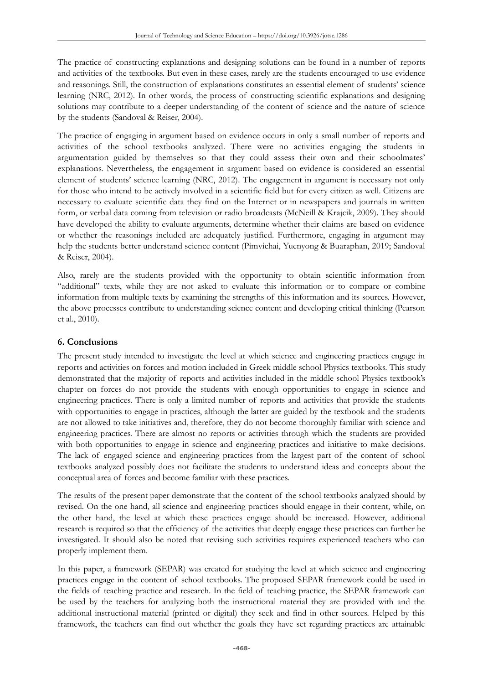The practice of constructing explanations and designing solutions can be found in a number of reports and activities of the textbooks. But even in these cases, rarely are the students encouraged to use evidence and reasonings. Still, the construction of explanations constitutes an essential element of students' science learning (NRC, 2012). In other words, the process of constructing scientific explanations and designing solutions may contribute to a deeper understanding of the content of science and the nature of science by the students (Sandoval & Reiser, 2004).

The practice of engaging in argument based on evidence occurs in only a small number of reports and activities of the school textbooks analyzed. There were no activities engaging the students in argumentation guided by themselves so that they could assess their own and their schoolmates' explanations. Nevertheless, the engagement in argument based on evidence is considered an essential element of students' science learning (NRC, 2012). The engagement in argument is necessary not only for those who intend to be actively involved in a scientific field but for every citizen as well. Citizens are necessary to evaluate scientific data they find on the Internet or in newspapers and journals in written form, or verbal data coming from television or radio broadcasts (McNeill & Krajcik, 2009). They should have developed the ability to evaluate arguments, determine whether their claims are based on evidence or whether the reasonings included are adequately justified. Furthermore, engaging in argument may help the students better understand science content (Pimvichai, Yuenyong & Buaraphan, 2019; Sandoval & Reiser, 2004).

Also, rarely are the students provided with the opportunity to obtain scientific information from "additional" texts, while they are not asked to evaluate this information or to compare or combine information from multiple texts by examining the strengths of this information and its sources. However, the above processes contribute to understanding science content and developing critical thinking (Pearson et al., 2010).

### **6. Conclusions**

The present study intended to investigate the level at which science and engineering practices engage in reports and activities on forces and motion included in Greek middle school Physics textbooks. This study demonstrated that the majority of reports and activities included in the middle school Physics textbook's chapter on forces do not provide the students with enough opportunities to engage in science and engineering practices. There is only a limited number of reports and activities that provide the students with opportunities to engage in practices, although the latter are guided by the textbook and the students are not allowed to take initiatives and, therefore, they do not become thoroughly familiar with science and engineering practices. There are almost no reports or activities through which the students are provided with both opportunities to engage in science and engineering practices and initiative to make decisions. The lack of engaged science and engineering practices from the largest part of the content of school textbooks analyzed possibly does not facilitate the students to understand ideas and concepts about the conceptual area of forces and become familiar with these practices.

The results of the present paper demonstrate that the content of the school textbooks analyzed should by revised. On the one hand, all science and engineering practices should engage in their content, while, on the other hand, the level at which these practices engage should be increased. However, additional research is required so that the efficiency of the activities that deeply engage these practices can further be investigated. It should also be noted that revising such activities requires experienced teachers who can properly implement them.

In this paper, a framework (SEPAR) was created for studying the level at which science and engineering practices engage in the content of school textbooks. The proposed SEPAR framework could be used in the fields of teaching practice and research. In the field of teaching practice, the SEPAR framework can be used by the teachers for analyzing both the instructional material they are provided with and the additional instructional material (printed or digital) they seek and find in other sources. Helped by this framework, the teachers can find out whether the goals they have set regarding practices are attainable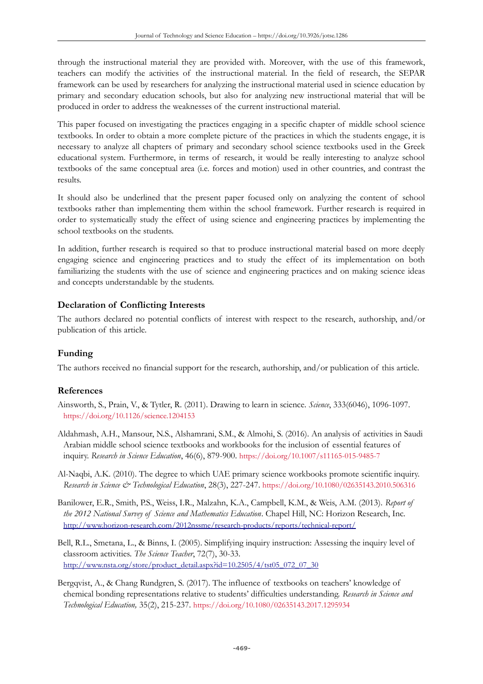through the instructional material they are provided with. Moreover, with the use of this framework, teachers can modify the activities of the instructional material. In the field of research, the SEPAR framework can be used by researchers for analyzing the instructional material used in science education by primary and secondary education schools, but also for analyzing new instructional material that will be produced in order to address the weaknesses of the current instructional material.

This paper focused on investigating the practices engaging in a specific chapter of middle school science textbooks. In order to obtain a more complete picture of the practices in which the students engage, it is necessary to analyze all chapters of primary and secondary school science textbooks used in the Greek educational system. Furthermore, in terms of research, it would be really interesting to analyze school textbooks of the same conceptual area (i.e. forces and motion) used in other countries, and contrast the results.

It should also be underlined that the present paper focused only on analyzing the content of school textbooks rather than implementing them within the school framework. Further research is required in order to systematically study the effect of using science and engineering practices by implementing the school textbooks on the students.

In addition, further research is required so that to produce instructional material based on more deeply engaging science and engineering practices and to study the effect of its implementation on both familiarizing the students with the use of science and engineering practices and on making science ideas and concepts understandable by the students.

## **Declaration of Conflicting Interests**

The authors declared no potential conflicts of interest with respect to the research, authorship, and/or publication of this article.

## **Funding**

The authors received no financial support for the research, authorship, and/or publication of this article.

## **References**

- Ainsworth, S., Prain, V., & Tytler, R. (2011). Drawing to learn in science. *Science*, 333(6046), 1096-1097. <https://doi.org/10.1126/science.1204153>
- Aldahmash, A.H., Mansour, N.S., Alshamrani, S.M., & Almohi, S. (2016). An analysis of activities in Saudi Arabian middle school science textbooks and workbooks for the inclusion of essential features of inquiry. *Research in Science Education*, 46(6), 879-900. <https://doi.org/10.1007/s11165-015-9485-7>
- Al-Naqbi, A.K. (2010). The degree to which UAE primary science workbooks promote scientific inquiry. *Research in Science & Technological Education*, 28(3), 227-247. <https://doi.org/10.1080/02635143.2010.506316>
- Banilower, E.R., Smith, P.S., Weiss, I.R., Malzahn, K.A., Campbell, K.M., & Weis, A.M. (2013). *Report of the 2012 National Survey of Science and Mathematics Education*. Chapel Hill, NC: Horizon Research, Inc. <http://www.horizon-research.com/2012nssme/research-products/reports/technical-report/>
- Bell, R.L., Smetana, L., & Binns, I. (2005). Simplifying inquiry instruction: Assessing the inquiry level of classroom activities. *The Science Teacher*, 72(7), 30-33. [http://www.nsta.org/store/product\\_detail.aspx?id=10.2505/4/tst05\\_072\\_07\\_30](http://www.nsta.org/store/product_detail.aspx?id=10.2505/4/tst05_072_07_30)
- Bergqvist, A., & Chang Rundgren, S. (2017). The influence of textbooks on teachers' knowledge of chemical bonding representations relative to students' difficulties understanding. *Research in Science and Technological Education,* 35(2), 215-237. <https://doi.org/10.1080/02635143.2017.1295934>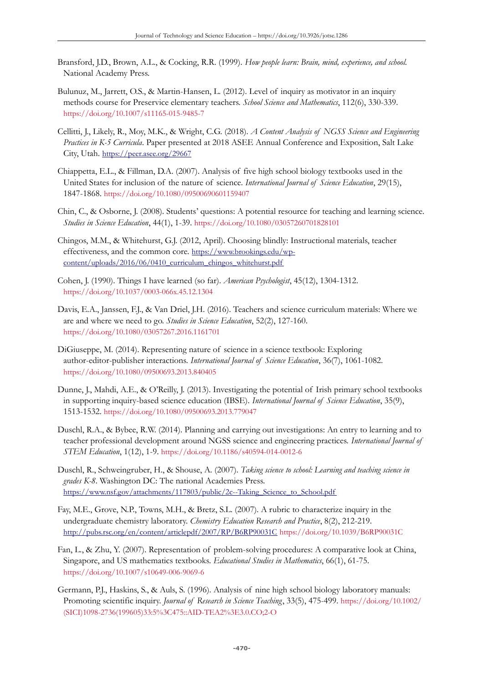- Bransford, J.D., Brown, A.L., & Cocking, R.R. (1999). *How people learn: Brain, mind, experience, and school.* National Academy Press.
- Bulunuz, M., Jarrett, O.S., & Martin-Hansen, L. (2012). Level of inquiry as motivator in an inquiry methods course for Preservice elementary teachers. *School Science and Mathematics*, 112(6), 330-339. <https://doi.org/10.1007/s11165-015-9485-7>
- Cellitti, J., Likely, R., Moy, M.K., & Wright, C.G. (2018). *A Content Analysis of NGSS Science and Engineering Practices in K-5 Curricula*. Paper presented at 2018 ASEE Annual Conference and Exposition, Salt Lake City, Utah. <https://peer.asee.org/29667>
- Chiappetta, E.L., & Fillman, D.A. (2007). Analysis of five high school biology textbooks used in the United States for inclusion of the nature of science. *International Journal of Science Education*, 29(15), 1847-1868. <https://doi.org/10.1080/09500690601159407>
- Chin, C., & Osborne, J. (2008). Students' questions: A potential resource for teaching and learning science. *Studies in Science Education*, 44(1), 1-39. <https://doi.org/10.1080/03057260701828101>
- Chingos, M.M., & Whitehurst, G.J. (2012, April). Choosing blindly: Instructional materials, teacher effectiveness, and the common core. [https://www.brookings.edu/wp](https://www.brookings.edu/wp-content/uploads/2016/06/0410_curriculum_chingos_whitehurst.pdf)[content/uploads/2016/06/0410\\_curriculum\\_chingos\\_whitehurst.pdf](https://www.brookings.edu/wp-content/uploads/2016/06/0410_curriculum_chingos_whitehurst.pdf)
- Cohen, J. (1990). Things I have learned (so far). *American Psychologist*, 45(12), 1304-1312. <https://doi.org/10.1037/0003-066x.45.12.1304>
- Davis, E.A., Janssen, F.J., & Van Driel, J.H. (2016). Teachers and science curriculum materials: Where we are and where we need to go. *Studies in Science Education*, 52(2), 127-160. <https://doi.org/10.1080/03057267.2016.1161701>
- DiGiuseppe, M. (2014). Representing nature of science in a science textbook: Exploring author-editor-publisher interactions. *International Journal of Science Education*, 36(7), 1061-1082. <https://doi.org/10.1080/09500693.2013.840405>
- Dunne, J., Mahdi, A.E., & O'Reilly, J. (2013). Investigating the potential of Irish primary school textbooks in supporting inquiry-based science education (IBSE). *International Journal of Science Education*, 35(9), 1513-1532. <https://doi.org/10.1080/09500693.2013.779047>
- Duschl, R.A., & Bybee, R.W. (2014). Planning and carrying out investigations: An entry to learning and to teacher professional development around NGSS science and engineering practices. *International Journal of STEM Education*, 1(12), 1-9. <https://doi.org/10.1186/s40594-014-0012-6>
- Duschl, R., Schweingruber, H., & Shouse, A. (2007). *Taking science to school: Learning and teaching science in grades K-8*. Washington DC: The national Academies Press. [https://www.nsf.gov/attachments/117803/public/2c--Taking\\_Science\\_to\\_School.pdf](https://www.nsf.gov/attachments/117803/public/2c--Taking_Science_to_School.pdf)
- Fay, M.E., Grove, N.P., Towns, M.H., & Bretz, S.L. (2007). A rubric to characterize inquiry in the undergraduate chemistry laboratory. *Chemistry Education Research and Practice*, 8(2), 212-219. <http://pubs.rsc.org/en/content/articlepdf/2007/RP/B6RP90031C> <https://doi.org/10.1039/B6RP90031C>
- Fan, L., & Zhu, Y. (2007). Representation of problem-solving procedures: A comparative look at China, Singapore, and US mathematics textbooks. *Educational Studies in Mathematics*, 66(1), 61-75. <https://doi.org/10.1007/s10649-006-9069-6>
- Germann, P.J., Haskins, S., & Auls, S. (1996). Analysis of nine high school biology laboratory manuals: Promoting scientific inquiry. *Journal of Research in Science Teaching*, 33(5), 475-499. [https://doi.org/10.1002/](https://doi.org/10.1002/(SICI)1098-2736(199605)33:5%3C475::AID-TEA2%3E3.0.CO;2-O) [\(SICI\)1098-2736\(199605\)33:5%3C475::AID-TEA2%3E3.0.CO;2-O](https://doi.org/10.1002/(SICI)1098-2736(199605)33:5%3C475::AID-TEA2%3E3.0.CO;2-O)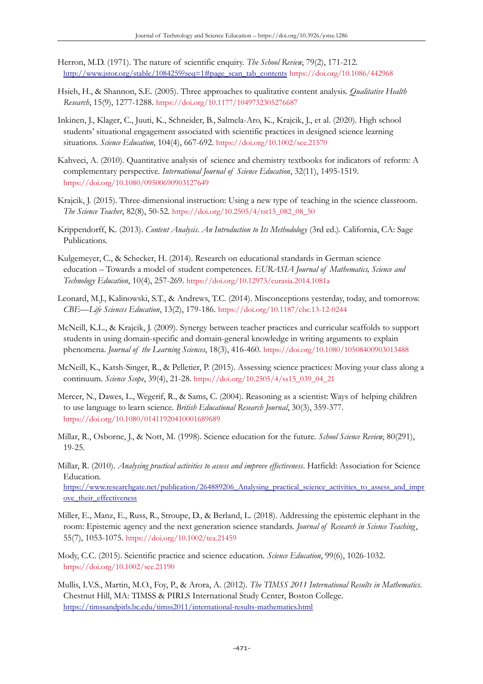- Herron, M.D. (1971). The nature of scientific enquiry. *The School Review*, 79(2), 171-212. [http://www.jstor.org/stable/1084259?seq=1#page\\_scan\\_tab\\_contents](http://www.jstor.org/stable/1084259?seq=1#page_scan_tab_contents) <https://doi.org/10.1086/442968>
- Hsieh, H., & Shannon, S.E. (2005). Three approaches to qualitative content analysis. *Qualitative Health Research*, 15(9), 1277-1288. <https://doi.org/10.1177/1049732305276687>
- Inkinen, J., Klager, C., Juuti, K., Schneider, B., Salmela-Aro, K., Krajcik, J., et al. (2020). High school students' situational engagement associated with scientific practices in designed science learning situations. *Science Education*, 104(4), 667-692. <https://doi.org/10.1002/sce.21570>
- Kahveci, A. (2010). Quantitative analysis of science and chemistry textbooks for indicators of reform: A complementary perspective. *International Journal of Science Education*, 32(11), 1495-1519. <https://doi.org/10.1080/09500690903127649>
- Krajcik, J. (2015). Three-dimensional instruction: Using a new type of teaching in the science classroom. *The Science Teacher*, 82(8), 50-52. [https://doi.org/10.2505/4/tst15\\_082\\_08\\_50](https://doi.org/10.2505/4/tst15_082_08_50)
- Krippendorff, K. (2013). *Content Analysis*. *An Introduction to Its Methodology* (3rd ed.). California, CA: Sage Publications.
- Kulgemeyer, C., & Schecker, H. (2014). Research on educational standards in German science education – Towards a model of student competences. *EURASIA Journal of Mathematics, Science and Technology Education*, 10(4), 257-269. <https://doi.org/10.12973/eurasia.2014.1081a>
- Leonard, M.J., Kalinowski, S.T., & Andrews, T.C. (2014). Misconceptions yesterday, today, and tomorrow. *CBE—Life Sciences Education*, 13(2), 179-186. <https://doi.org/10.1187/cbe.13-12-0244>
- McNeill, K.L., & Krajcik, J. (2009). Synergy between teacher practices and curricular scaffolds to support students in using domain-specific and domain-general knowledge in writing arguments to explain phenomena. *Journal of the Learning Sciences*, 18(3), 416-460. <https://doi.org/10.1080/10508400903013488>
- McNeill, K., Katsh-Singer, R., & Pelletier, P. (2015). Assessing science practices: Moving your class along a continuum. *Science Scope*, 39(4), 21-28. [https://doi.org/10.2505/4/ss15\\_039\\_04\\_21](https://doi.org/10.2505/4/ss15_039_04_21)
- Mercer, N., Dawes, L., Wegerif, R., & Sams, C. (2004). Reasoning as a scientist: Ways of helping children to use language to learn science. *British Educational Research Journal*, 30(3), 359-377. <https://doi.org/10.1080/01411920410001689689>
- Millar, R., Osborne, J., & Nott, M. (1998). Science education for the future. *School Science Review*, 80(291), 19-25.
- Millar, R. (2010). *Analysing practical activities to assess and improve effectiveness*. Hatfield: Association for Science Education. [https://www.researchgate.net/publication/264889206\\_Analysing\\_practical\\_science\\_activities\\_to\\_assess\\_and\\_impr](https://www.researchgate.net/publication/264889206_Analysing_practical_science_activities_to_assess_and_improve_their_effectiveness) ove their effectiveness
- Miller, E., Manz, E., Russ, R., Stroupe, D., & Berland, L. (2018). Addressing the epistemic elephant in the room: Epistemic agency and the next generation science standards. *Journal of Research in Science Teaching*, 55(7), 1053-1075. <https://doi.org/10.1002/tea.21459>
- Mody, C.C. (2015). Scientific practice and science education. *Science Education*, 99(6), 1026-1032. <https://doi.org/10.1002/sce.21190>
- Mullis, I.V.S., Martin, M.O., Foy, P., & Arora, A. (2012). *The TIMSS 2011 International Results in Mathematics*. Chestnut Hill, MA: TIMSS & PIRLS International Study Center, Boston College. <https://timssandpirls.bc.edu/timss2011/international-results-mathematics.html>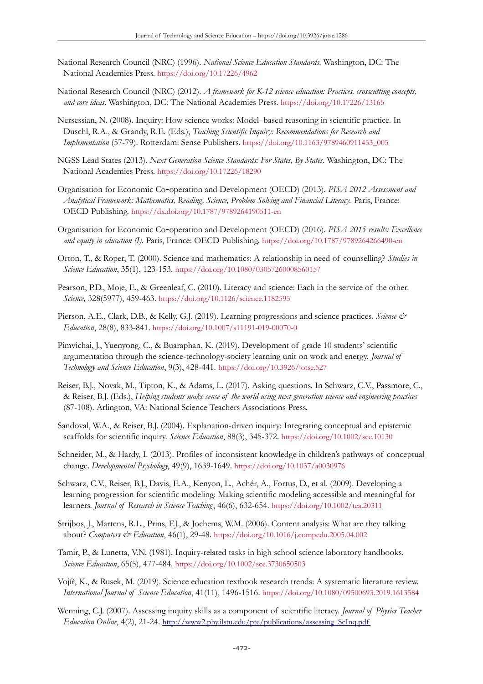- National Research Council (NRC) (1996). *National Science Education Standards*. Washington, DC: The National Academies Press. <https://doi.org/10.17226/4962>
- National Research Council (NRC) (2012). *A framework for K-12 science education: Practices, crosscutting concepts, and core ideas*. Washington, DC: The National Academies Press. <https://doi.org/10.17226/13165>
- Nersessian, N. (2008). Inquiry: How science works: Model–based reasoning in scientific practice. In Duschl, R.A., & Grandy, R.E. (Eds.), *Teaching Scientific Inquiry: Recommendations for Research and Implementation* (57-79). Rotterdam: Sense Publishers. [https://doi.org/10.1163/9789460911453\\_005](https://doi.org/10.1163/9789460911453_005)
- NGSS Lead States (2013). *Next Generation Science Standards: For States, By States*. Washington, DC: The National Academies Press. <https://doi.org/10.17226/18290>
- Organisation for Economic Co-operation and Development (OECD) (2013). PISA 2012 Assessment and *Analytical Framework: Mathematics, Reading, Science, Problem Solving and Financial Literacy.* Paris, France: OECD Publishing. <https://dx.doi.org/10.1787/9789264190511-en>
- Organisation for Economic Co operation and Development (OECD) (2016). ‐ *PISA 2015 results: Excellence and equity in education (I).* Paris, France: OECD Publishing. <https://doi.org/10.1787/9789264266490-en>
- Orton, T., & Roper, T. (2000). Science and mathematics: A relationship in need of counselling? *Studies in Science Education*, 35(1), 123-153. <https://doi.org/10.1080/03057260008560157>
- Pearson, P.D., Moje, E., & Greenleaf, C. (2010). Literacy and science: Each in the service of the other. *Science,* 328(5977), 459-463. <https://doi.org/10.1126/science.1182595>
- Pierson, A.E., Clark, D.B., & Kelly, G.J. (2019). Learning progressions and science practices. *Science & Education*, 28(8), 833-841. <https://doi.org/10.1007/s11191-019-00070-0>
- Pimvichai, J., Yuenyong, C., & Buaraphan, K. (2019). Development of grade 10 students' scientific argumentation through the science-technology-society learning unit on work and energy. *Journal of Technology and Science Education*, 9(3), 428-441. <https://doi.org/10.3926/jotse.527>
- Reiser, B.J., Novak, M., Tipton, K., & Adams, L. (2017). Asking questions. In Schwarz, C.V., Passmore, C., & Reiser, B.J. (Eds.), *Helping students make sense of the world using next generation science and engineering practices*  (87-108). Arlington, VA: National Science Teachers Associations Press.
- Sandoval, W.A., & Reiser, B.J. (2004). Explanation-driven inquiry: Integrating conceptual and epistemic scaffolds for scientific inquiry. *Science Education*, 88(3), 345-372. <https://doi.org/10.1002/sce.10130>
- Schneider, M., & Hardy, I. (2013). Profiles of inconsistent knowledge in children's pathways of conceptual change. *Developmental Psychology*, 49(9), 1639-1649. <https://doi.org/10.1037/a0030976>
- Schwarz, C.V., Reiser, B.J., Davis, E.A., Kenyon, L., Achér, A., Fortus, D., et al. (2009). Developing a learning progression for scientific modeling: Making scientific modeling accessible and meaningful for learners. *Journal of Research in Science Teaching*, 46(6), 632-654. <https://doi.org/10.1002/tea.20311>
- Strijbos, J., Martens, R.L., Prins, F.J., & Jochems, W.M. (2006). Content analysis: What are they talking about? *Computers & Education*, 46(1), 29-48. <https://doi.org/10.1016/j.compedu.2005.04.002>
- Tamir, P., & Lunetta, V.N. (1981). Inquiry-related tasks in high school science laboratory handbooks. *Science Education*, 65(5), 477-484. <https://doi.org/10.1002/sce.3730650503>
- Vojíř, K., & Rusek, M. (2019). Science education textbook research trends: A systematic literature review. *International Journal of Science Education*, 41(11), 1496-1516. <https://doi.org/10.1080/09500693.2019.1613584>
- Wenning, C.J. (2007). Assessing inquiry skills as a component of scientific literacy. *Journal of Physics Teacher Education Online*, 4(2), 21-24. [http://www2.phy.ilstu.edu/pte/publications/assessing\\_ScInq.pdf](http://www2.phy.ilstu.edu/pte/publications/assessing_ScInq.pdf)